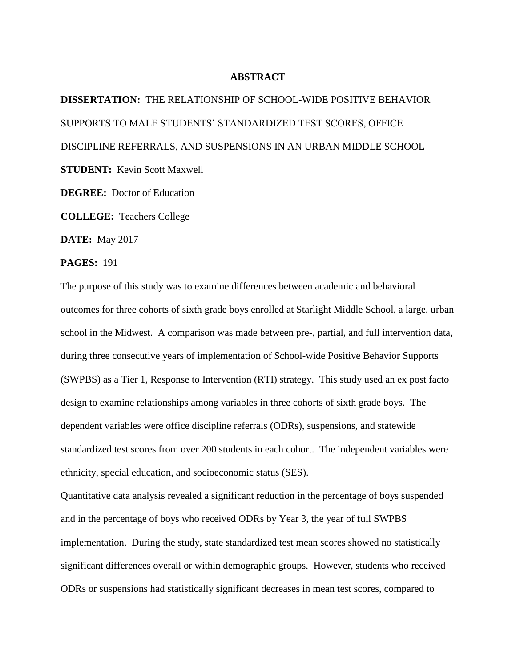## **ABSTRACT**

**DISSERTATION:** THE RELATIONSHIP OF SCHOOL-WIDE POSITIVE BEHAVIOR SUPPORTS TO MALE STUDENTS' STANDARDIZED TEST SCORES, OFFICE DISCIPLINE REFERRALS, AND SUSPENSIONS IN AN URBAN MIDDLE SCHOOL **STUDENT:** Kevin Scott Maxwell **DEGREE:** Doctor of Education **COLLEGE:** Teachers College

**DATE:** May 2017

## **PAGES:** 191

The purpose of this study was to examine differences between academic and behavioral outcomes for three cohorts of sixth grade boys enrolled at Starlight Middle School, a large, urban school in the Midwest. A comparison was made between pre-, partial, and full intervention data, during three consecutive years of implementation of School-wide Positive Behavior Supports (SWPBS) as a Tier 1, Response to Intervention (RTI) strategy. This study used an ex post facto design to examine relationships among variables in three cohorts of sixth grade boys. The dependent variables were office discipline referrals (ODRs), suspensions, and statewide standardized test scores from over 200 students in each cohort. The independent variables were ethnicity, special education, and socioeconomic status (SES).

Quantitative data analysis revealed a significant reduction in the percentage of boys suspended and in the percentage of boys who received ODRs by Year 3, the year of full SWPBS implementation. During the study, state standardized test mean scores showed no statistically significant differences overall or within demographic groups. However, students who received ODRs or suspensions had statistically significant decreases in mean test scores, compared to